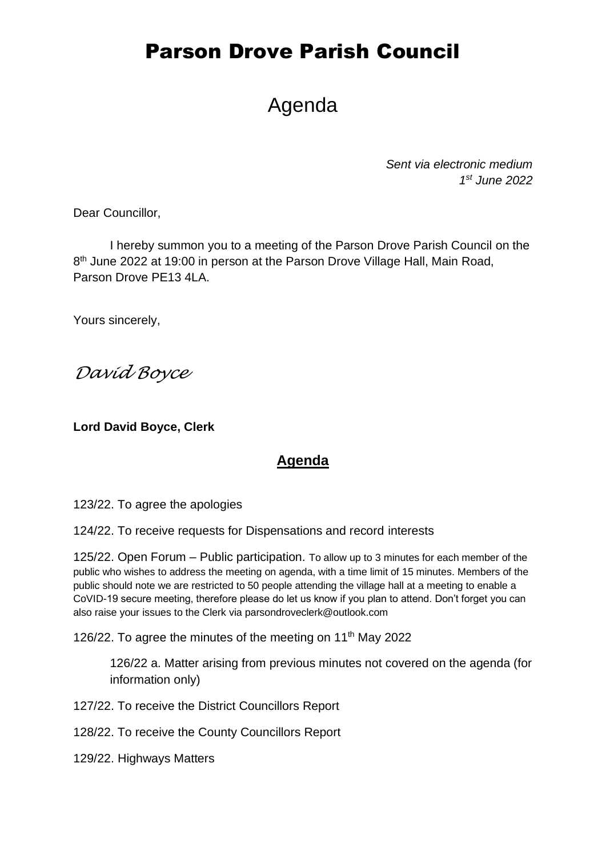# Parson Drove Parish Council

# Agenda

*Sent via electronic medium 1 st June 2022*

Dear Councillor,

I hereby summon you to a meeting of the Parson Drove Parish Council on the 8<sup>th</sup> June 2022 at 19:00 in person at the Parson Drove Village Hall, Main Road, Parson Drove PE13 4LA.

Yours sincerely,

*David Boyce*

**Lord David Boyce, Clerk**

#### **Agenda**

123/22. To agree the apologies

124/22. To receive requests for Dispensations and record interests

125/22. Open Forum – Public participation. To allow up to 3 minutes for each member of the public who wishes to address the meeting on agenda, with a time limit of 15 minutes. Members of the public should note we are restricted to 50 people attending the village hall at a meeting to enable a CoVID-19 secure meeting, therefore please do let us know if you plan to attend. Don't forget you can also raise your issues to the Clerk via parsondroveclerk@outlook.com

126/22. To agree the minutes of the meeting on 11<sup>th</sup> May 2022

126/22 a. Matter arising from previous minutes not covered on the agenda (for information only)

127/22. To receive the District Councillors Report

128/22. To receive the County Councillors Report

129/22. Highways Matters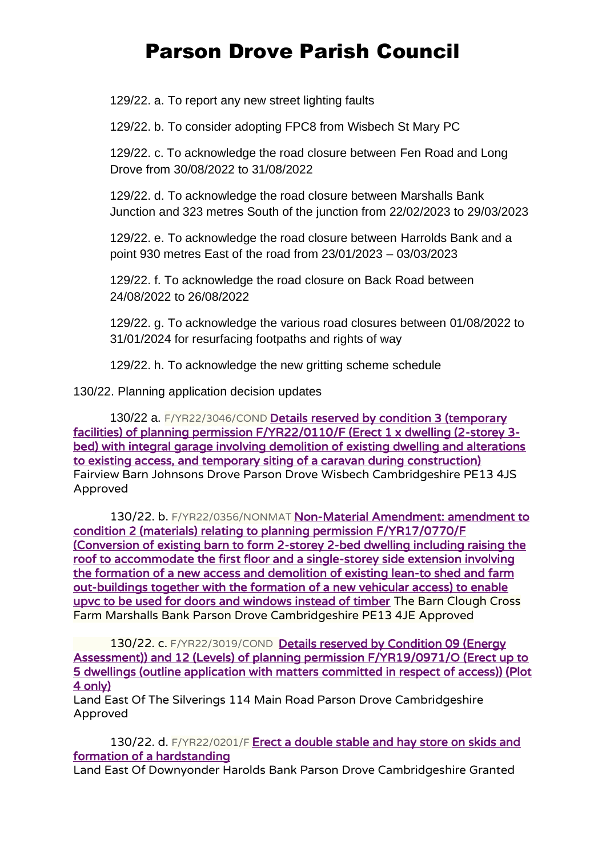# Parson Drove Parish Council

129/22. a. To report any new street lighting faults

129/22. b. To consider adopting FPC8 from Wisbech St Mary PC

129/22. c. To acknowledge the road closure between Fen Road and Long Drove from 30/08/2022 to 31/08/2022

129/22. d. To acknowledge the road closure between Marshalls Bank Junction and 323 metres South of the junction from 22/02/2023 to 29/03/2023

129/22. e. To acknowledge the road closure between Harrolds Bank and a point 930 metres East of the road from 23/01/2023 – 03/03/2023

129/22. f. To acknowledge the road closure on Back Road between 24/08/2022 to 26/08/2022

129/22. g. To acknowledge the various road closures between 01/08/2022 to 31/01/2024 for resurfacing footpaths and rights of way

129/22. h. To acknowledge the new gritting scheme schedule

130/22. Planning application decision updates

130/22 a. F/YR22/3046/COND Details reserved by condition 3 (temporary [facilities\) of planning permission F/YR22/0110/F \(Erect 1 x dwelling \(2-storey 3](https://www.publicaccess.fenland.gov.uk/publicaccess/applicationDetails.do?keyVal=RBCOP2HE01U00&activeTab=summary) [bed\) with integral garage involving demolition of existing dwelling and alterations](https://www.publicaccess.fenland.gov.uk/publicaccess/applicationDetails.do?keyVal=RBCOP2HE01U00&activeTab=summary)  [to existing access, and temporary siting of a caravan during construction\)](https://www.publicaccess.fenland.gov.uk/publicaccess/applicationDetails.do?keyVal=RBCOP2HE01U00&activeTab=summary) Fairview Barn Johnsons Drove Parson Drove Wisbech Cambridgeshire PE13 4JS Approved

130/22. b. F/YR22/0356/NONMAT Non-Material Amendment: amendment to [condition 2 \(materials\) relating to planning permission F/YR17/0770/F](https://www.publicaccess.fenland.gov.uk/publicaccess/applicationDetails.do?keyVal=R9I1SRHE0D800&activeTab=summary)  [\(Conversion of existing barn to form 2-storey 2-bed dwelling including raising the](https://www.publicaccess.fenland.gov.uk/publicaccess/applicationDetails.do?keyVal=R9I1SRHE0D800&activeTab=summary)  [roof to accommodate the first floor and a single-storey side extension involving](https://www.publicaccess.fenland.gov.uk/publicaccess/applicationDetails.do?keyVal=R9I1SRHE0D800&activeTab=summary)  [the formation of a new access and demolition of existing lean-to shed and farm](https://www.publicaccess.fenland.gov.uk/publicaccess/applicationDetails.do?keyVal=R9I1SRHE0D800&activeTab=summary)  [out-buildings together with the formation of a new vehicular access\) to enable](https://www.publicaccess.fenland.gov.uk/publicaccess/applicationDetails.do?keyVal=R9I1SRHE0D800&activeTab=summary)  [upvc to be used for doors and windows instead of timber](https://www.publicaccess.fenland.gov.uk/publicaccess/applicationDetails.do?keyVal=R9I1SRHE0D800&activeTab=summary) The Barn Clough Cross Farm Marshalls Bank Parson Drove Cambridgeshire PE13 4JE Approved

130/22. c. F/YR22/3019/COND Details reserved by Condition 09 (Energy [Assessment\)\) and 12 \(Levels\) of planning permission F/YR19/0971/O \(Erect up to](https://www.publicaccess.fenland.gov.uk/publicaccess/applicationDetails.do?keyVal=R7GAY1HE0D800&activeTab=summary)  [5 dwellings \(outline application with matters committed in respect of access\)\) \(Plot](https://www.publicaccess.fenland.gov.uk/publicaccess/applicationDetails.do?keyVal=R7GAY1HE0D800&activeTab=summary)  [4 only\)](https://www.publicaccess.fenland.gov.uk/publicaccess/applicationDetails.do?keyVal=R7GAY1HE0D800&activeTab=summary)

Land East Of The Silverings 114 Main Road Parson Drove Cambridgeshire Approved

130/22. d. F/YR22/0201/F Erect a double stable and hay store on skids and [formation of a hardstanding](https://www.publicaccess.fenland.gov.uk/publicaccess/applicationDetails.do?keyVal=R6OK5CHE0D800&activeTab=summary)

Land East Of Downyonder Harolds Bank Parson Drove Cambridgeshire Granted